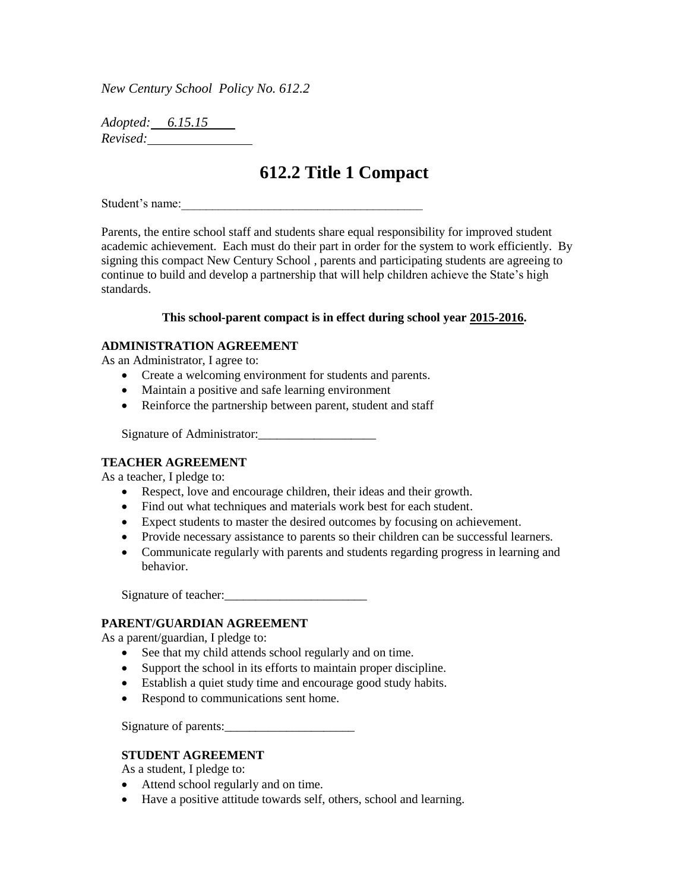*New Century School Policy No. 612.2*

*Adopted: 6.15.15 Revised:* 

# **612.2 Title 1 Compact**

Student's name:

Parents, the entire school staff and students share equal responsibility for improved student academic achievement. Each must do their part in order for the system to work efficiently. By signing this compact New Century School , parents and participating students are agreeing to continue to build and develop a partnership that will help children achieve the State's high standards.

#### **This school-parent compact is in effect during school year 2015-2016.**

## **ADMINISTRATION AGREEMENT**

As an Administrator, I agree to:

- Create a welcoming environment for students and parents.
- Maintain a positive and safe learning environment
- Reinforce the partnership between parent, student and staff

Signature of Administrator:\_\_\_\_\_\_\_\_\_\_\_\_\_\_\_\_\_\_\_

#### **TEACHER AGREEMENT**

As a teacher, I pledge to:

- Respect, love and encourage children, their ideas and their growth.
- Find out what techniques and materials work best for each student.
- Expect students to master the desired outcomes by focusing on achievement.
- Provide necessary assistance to parents so their children can be successful learners.
- Communicate regularly with parents and students regarding progress in learning and behavior.

Signature of teacher:

## **PARENT/GUARDIAN AGREEMENT**

As a parent/guardian, I pledge to:

- See that my child attends school regularly and on time.
- Support the school in its efforts to maintain proper discipline.
- Establish a quiet study time and encourage good study habits.
- Respond to communications sent home.

Signature of parents:

## **STUDENT AGREEMENT**

As a student, I pledge to:

- Attend school regularly and on time.
- Have a positive attitude towards self, others, school and learning.